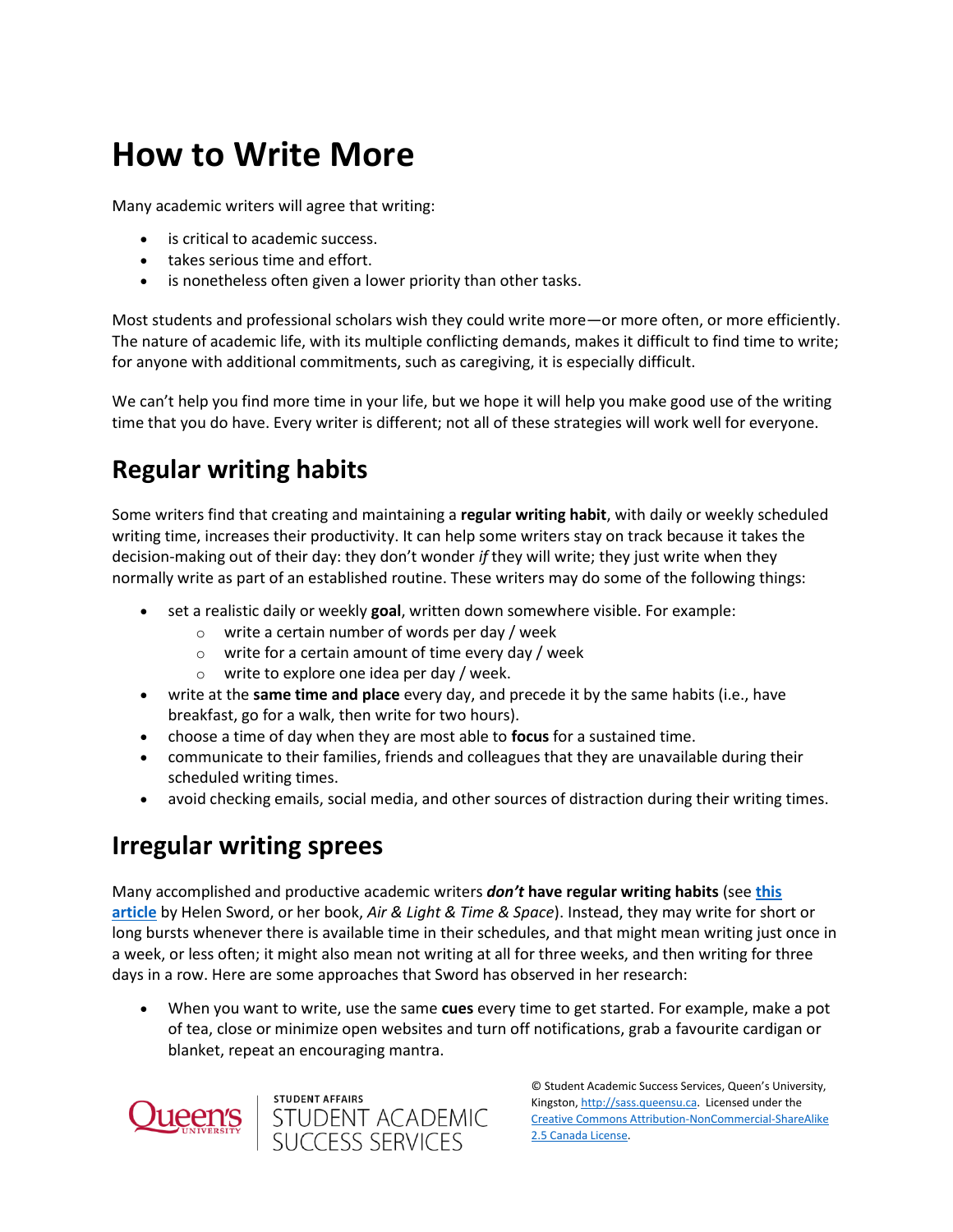# **How to Write More**

Many academic writers will agree that writing:

- is critical to academic success.
- takes serious time and effort.
- is nonetheless often given a lower priority than other tasks.

Most students and professional scholars wish they could write more—or more often, or more efficiently. The nature of academic life, with its multiple conflicting demands, makes it difficult to find time to write; for anyone with additional commitments, such as caregiving, it is especially difficult.

We can't help you find more time in your life, but we hope it will help you make good use of the writing time that you do have. Every writer is different; not all of these strategies will work well for everyone.

## **Regular writing habits**

Some writers find that creating and maintaining a **regular writing habit**, with daily or weekly scheduled writing time, increases their productivity. It can help some writers stay on track because it takes the decision-making out of their day: they don't wonder *if* they will write; they just write when they normally write as part of an established routine. These writers may do some of the following things:

- set a realistic daily or weekly **goal**, written down somewhere visible. For example:
	- o write a certain number of words per day / week
	- o write for a certain amount of time every day / week

student affairs<br>STUDENT ACADEMIC<br>SUCCESS SERVICES

- o write to explore one idea per day / week.
- write at the **same time and place** every day, and precede it by the same habits (i.e., have breakfast, go for a walk, then write for two hours).
- choose a time of day when they are most able to **focus** for a sustained time.
- communicate to their families, friends and colleagues that they are unavailable during their scheduled writing times.
- avoid checking emails, social media, and other sources of distraction during their writing times.

#### **Irregular writing sprees**

Many accomplished and productive academic writers *don't* **have regular writing habits** (see **[this](https://ocul-qu.primo.exlibrisgroup.com/discovery/fulldisplay?docid=cdi_proquest_journals_1829438234&context=PC&vid=01OCUL_QU:QU_DEFAULT&lang=en&search_scope=MyInst_and_CI&adaptor=Primo%20Central&tab=Everything&query=any,contains,Helen%20Sword%20mantra%20writing&mode=Basic)  [article](https://ocul-qu.primo.exlibrisgroup.com/discovery/fulldisplay?docid=cdi_proquest_journals_1829438234&context=PC&vid=01OCUL_QU:QU_DEFAULT&lang=en&search_scope=MyInst_and_CI&adaptor=Primo%20Central&tab=Everything&query=any,contains,Helen%20Sword%20mantra%20writing&mode=Basic)** by Helen Sword, or her book, *Air & Light & Time & Space*). Instead, they may write for short or long bursts whenever there is available time in their schedules, and that might mean writing just once in a week, or less often; it might also mean not writing at all for three weeks, and then writing for three days in a row. Here are some approaches that Sword has observed in her research:

 When you want to write, use the same **cues** every time to get started. For example, make a pot of tea, close or minimize open websites and turn off notifications, grab a favourite cardigan or blanket, repeat an encouraging mantra.



© Student Academic Success Services, Queen's University, Kingston[, http://sass.queensu.ca.](http://sass.queensu.ca/) Licensed under the [Creative Commons Attribution-NonCommercial-ShareAlike](http://creativecommons.org/licenses/by-nc-sa/2.5/ca/)  [2.5 Canada License.](http://creativecommons.org/licenses/by-nc-sa/2.5/ca/)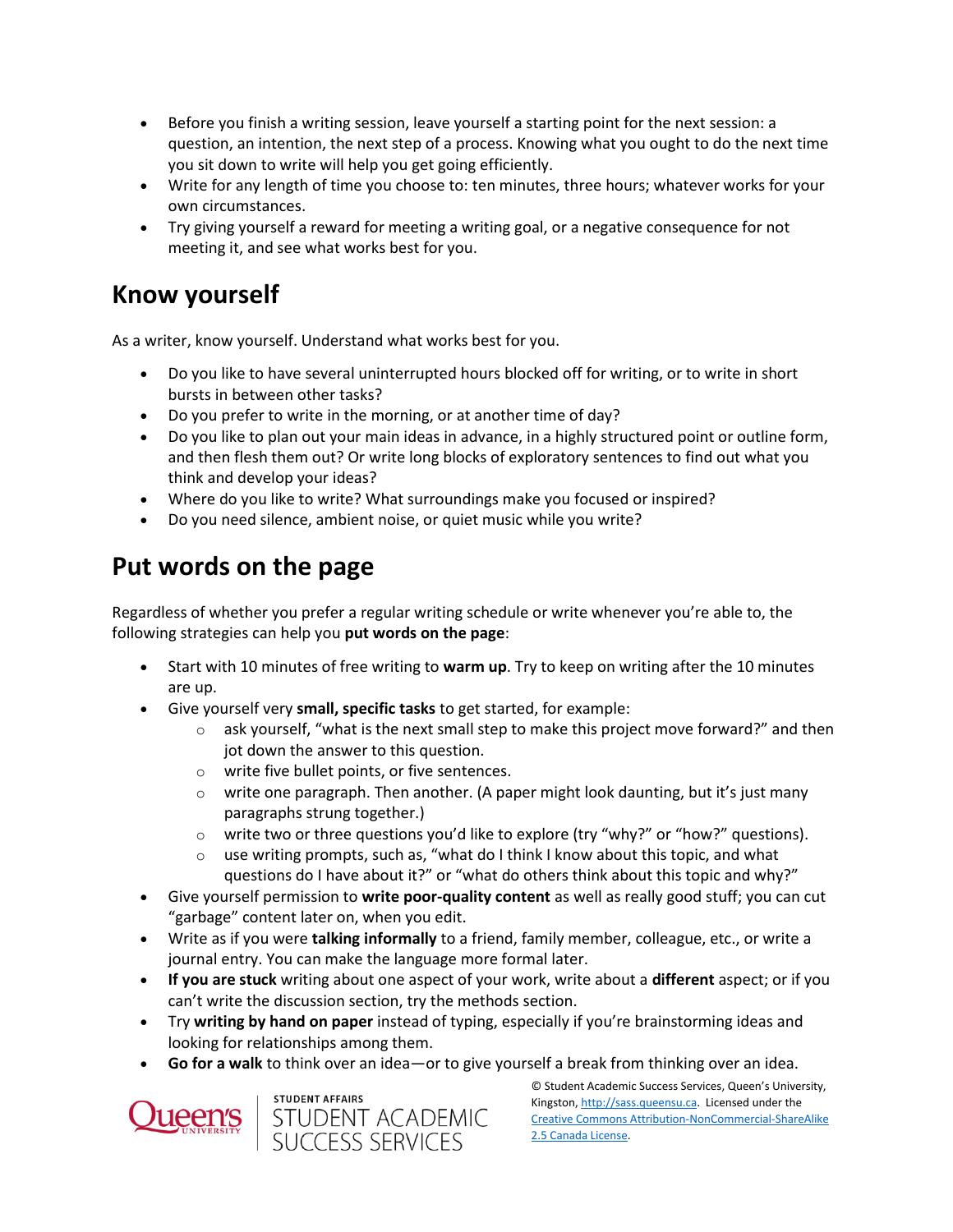- Before you finish a writing session, leave yourself a starting point for the next session: a question, an intention, the next step of a process. Knowing what you ought to do the next time you sit down to write will help you get going efficiently.
- Write for any length of time you choose to: ten minutes, three hours; whatever works for your own circumstances.
- Try giving yourself a reward for meeting a writing goal, or a negative consequence for not meeting it, and see what works best for you.

#### **Know yourself**

As a writer, know yourself. Understand what works best for you.

- Do you like to have several uninterrupted hours blocked off for writing, or to write in short bursts in between other tasks?
- Do you prefer to write in the morning, or at another time of day?
- Do you like to plan out your main ideas in advance, in a highly structured point or outline form, and then flesh them out? Or write long blocks of exploratory sentences to find out what you think and develop your ideas?
- Where do you like to write? What surroundings make you focused or inspired?
- Do you need silence, ambient noise, or quiet music while you write?

### **Put words on the page**

Regardless of whether you prefer a regular writing schedule or write whenever you're able to, the following strategies can help you **put words on the page**:

- Start with 10 minutes of free writing to **warm up**. Try to keep on writing after the 10 minutes are up.
- Give yourself very **small, specific tasks** to get started, for example:
	- $\circ$  ask yourself, "what is the next small step to make this project move forward?" and then jot down the answer to this question.
	- o write five bullet points, or five sentences.
	- $\circ$  write one paragraph. Then another. (A paper might look daunting, but it's just many paragraphs strung together.)
	- $\circ$  write two or three questions you'd like to explore (try "why?" or "how?" questions).
	- $\circ$  use writing prompts, such as, "what do I think I know about this topic, and what questions do I have about it?" or "what do others think about this topic and why?"
- Give yourself permission to **write poor-quality content** as well as really good stuff; you can cut "garbage" content later on, when you edit.
- Write as if you were **talking informally** to a friend, family member, colleague, etc., or write a journal entry. You can make the language more formal later.
- **If you are stuck** writing about one aspect of your work, write about a **different** aspect; or if you can't write the discussion section, try the methods section.
- Try **writing by hand on paper** instead of typing, especially if you're brainstorming ideas and looking for relationships among them.
- **Go for a walk** to think over an idea—or to give yourself a break from thinking over an idea.





© Student Academic Success Services, Queen's University, Kingston[, http://sass.queensu.ca.](http://sass.queensu.ca/) Licensed under the [Creative Commons Attribution-NonCommercial-ShareAlike](http://creativecommons.org/licenses/by-nc-sa/2.5/ca/)  [2.5 Canada License.](http://creativecommons.org/licenses/by-nc-sa/2.5/ca/)